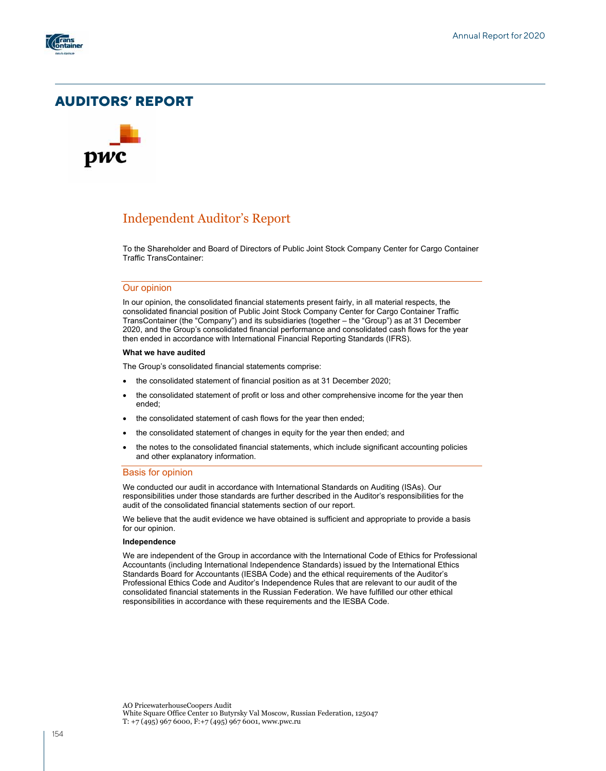

## **AUDITORS' REPORT**



## Independent Auditor's Report

To the Shareholder and Board of Directors of Public Joint Stock Company Center for Cargo Container Traffic TransContainer:

#### Our opinion

In our opinion, the consolidated financial statements present fairly, in all material respects, the consolidated financial position of Public Joint Stock Company Center for Cargo Container Traffic TransContainer (the "Company") and its subsidiaries (together – the "Group") as at 31 December 2020, and the Group's consolidated financial performance and consolidated cash flows for the year then ended in accordance with International Financial Reporting Standards (IFRS).

#### **What we have audited**

The Group's consolidated financial statements comprise:

- the consolidated statement of financial position as at 31 December 2020;
- the consolidated statement of profit or loss and other comprehensive income for the year then ended;
- the consolidated statement of cash flows for the year then ended;
- the consolidated statement of changes in equity for the year then ended; and
- the notes to the consolidated financial statements, which include significant accounting policies and other explanatory information.

#### Basis for opinion

We conducted our audit in accordance with International Standards on Auditing (ISAs). Our responsibilities under those standards are further described in the Auditor's responsibilities for the audit of the consolidated financial statements section of our report.

We believe that the audit evidence we have obtained is sufficient and appropriate to provide a basis for our opinion.

#### **Independence**

We are independent of the Group in accordance with the International Code of Ethics for Professional Accountants (including International Independence Standards) issued by the International Ethics Standards Board for Accountants (IESBA Code) and the ethical requirements of the Auditor's Professional Ethics Code and Auditor's Independence Rules that are relevant to our audit of the consolidated financial statements in the Russian Federation. We have fulfilled our other ethical responsibilities in accordance with these requirements and the IESBA Code.

AO PricewaterhouseCoopers Audit White Square Office Center 10 Butyrsky Val Moscow, Russian Federation, 125047 T: +7 (495) 967 6000, F:+7 (495) 967 6001, www.pwc.ru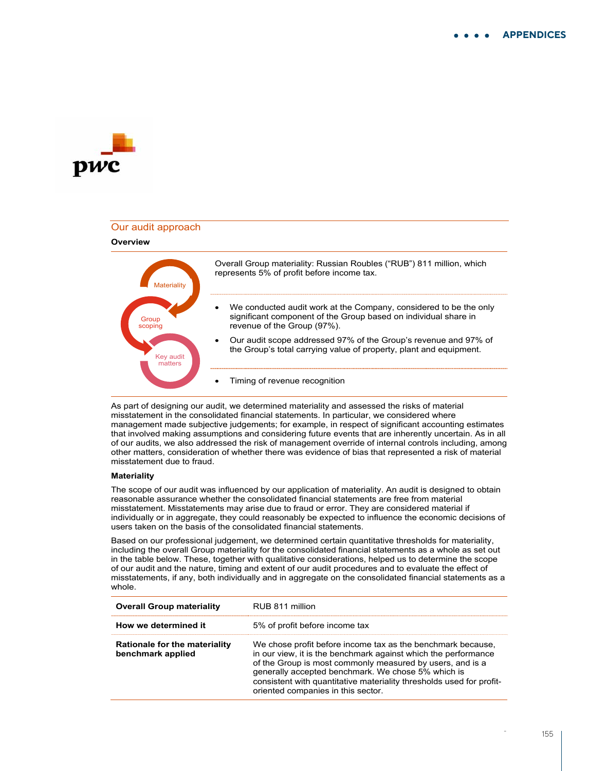

### Our audit approach

#### **Overview**



As part of designing our audit, we determined materiality and assessed the risks of material misstatement in the consolidated financial statements. In particular, we considered where management made subjective judgements; for example, in respect of significant accounting estimates that involved making assumptions and considering future events that are inherently uncertain. As in all of our audits, we also addressed the risk of management override of internal controls including, among other matters, consideration of whether there was evidence of bias that represented a risk of material misstatement due to fraud.

#### **Materiality**

The scope of our audit was influenced by our application of materiality. An audit is designed to obtain reasonable assurance whether the consolidated financial statements are free from material misstatement. Misstatements may arise due to fraud or error. They are considered material if individually or in aggregate, they could reasonably be expected to influence the economic decisions of users taken on the basis of the consolidated financial statements.

Based on our professional judgement, we determined certain quantitative thresholds for materiality, including the overall Group materiality for the consolidated financial statements as a whole as set out in the table below. These, together with qualitative considerations, helped us to determine the scope of our audit and the nature, timing and extent of our audit procedures and to evaluate the effect of misstatements, if any, both individually and in aggregate on the consolidated financial statements as a whole.

| <b>Overall Group materiality</b>                   | RUB 811 million                                                                                                                                                                                                                                                                                                                                                |
|----------------------------------------------------|----------------------------------------------------------------------------------------------------------------------------------------------------------------------------------------------------------------------------------------------------------------------------------------------------------------------------------------------------------------|
| How we determined it                               | 5% of profit before income tax                                                                                                                                                                                                                                                                                                                                 |
| Rationale for the materiality<br>benchmark applied | We chose profit before income tax as the benchmark because.<br>in our view, it is the benchmark against which the performance<br>of the Group is most commonly measured by users, and is a<br>generally accepted benchmark. We chose 5% which is<br>consistent with quantitative materiality thresholds used for profit-<br>oriented companies in this sector. |

2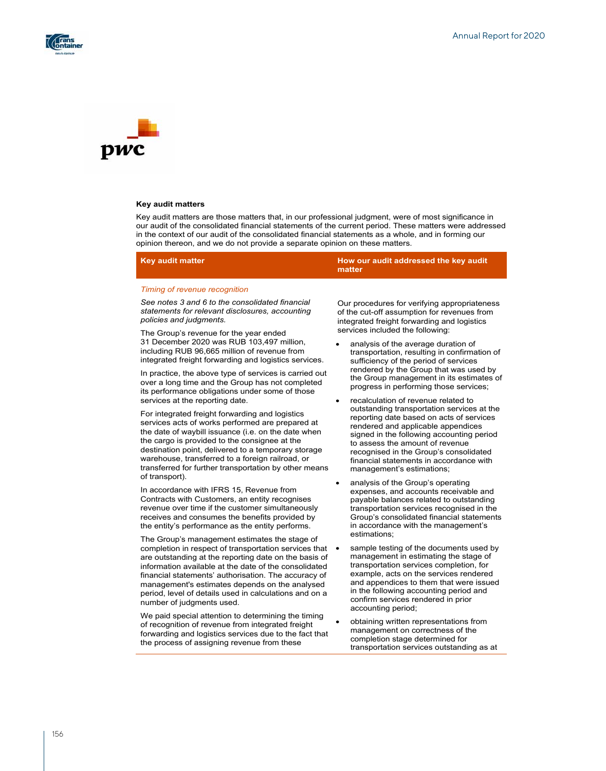



#### **Key audit matters**

Key audit matters are those matters that, in our professional judgment, were of most significance in our audit of the consolidated financial statements of the current period. These matters were addressed in the context of our audit of the consolidated financial statements as a whole, and in forming our opinion thereon, and we do not provide a separate opinion on these matters.

| Key audit matter | How our audit addressed the key audit<br>matter |
|------------------|-------------------------------------------------|
|                  |                                                 |

#### *Timing of revenue recognition*

*See notes 3 and 6 to the consolidated financial statements for relevant disclosures, accounting policies and judgments.*

The Group's revenue for the year ended 31 December 2020 was RUB 103,497 million, including RUB 96,665 million of revenue from integrated freight forwarding and logistics services.

In practice, the above type of services is carried out over a long time and the Group has not completed its performance obligations under some of those services at the reporting date.

For integrated freight forwarding and logistics services acts of works performed are prepared at the date of waybill issuance (i.e. on the date when the cargo is provided to the consignee at the destination point, delivered to a temporary storage warehouse, transferred to a foreign railroad, or transferred for further transportation by other means of transport).

In accordance with IFRS 15, Revenue from Contracts with Customers, an entity recognises revenue over time if the customer simultaneously receives and consumes the benefits provided by the entity's performance as the entity performs.

The Group's management estimates the stage of completion in respect of transportation services that are outstanding at the reporting date on the basis of information available at the date of the consolidated financial statements' authorisation. The accuracy of management's estimates depends on the analysed period, level of details used in calculations and on a number of judgments used.

We paid special attention to determining the timing of recognition of revenue from integrated freight forwarding and logistics services due to the fact that the process of assigning revenue from these

Our procedures for verifying appropriateness of the cut-off assumption for revenues from integrated freight forwarding and logistics services included the following:

- analysis of the average duration of transportation, resulting in confirmation of sufficiency of the period of services rendered by the Group that was used by the Group management in its estimates of progress in performing those services;
- recalculation of revenue related to outstanding transportation services at the reporting date based on acts of services rendered and applicable appendices signed in the following accounting period to assess the amount of revenue recognised in the Group's consolidated financial statements in accordance with management's estimations;
- analysis of the Group's operating expenses, and accounts receivable and payable balances related to outstanding transportation services recognised in the Group's consolidated financial statements in accordance with the management's estimations;
- sample testing of the documents used by management in estimating the stage of transportation services completion, for example, acts on the services rendered and appendices to them that were issued in the following accounting period and confirm services rendered in prior accounting period;
- obtaining written representations from management on correctness of the completion stage determined for transportation services outstanding as at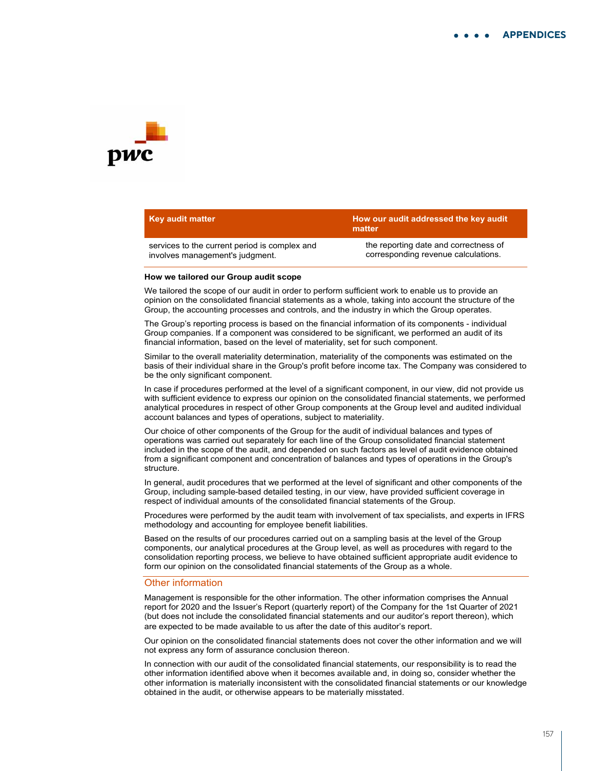

| <b>Key audit matter</b>                       | How our audit addressed the key audit<br>matter |
|-----------------------------------------------|-------------------------------------------------|
| services to the current period is complex and | the reporting date and correctness of           |
| involves management's judgment.               | corresponding revenue calculations.             |

#### **How we tailored our Group audit scope**

We tailored the scope of our audit in order to perform sufficient work to enable us to provide an opinion on the consolidated financial statements as a whole, taking into account the structure of the Group, the accounting processes and controls, and the industry in which the Group operates.

The Group's reporting process is based on the financial information of its components - individual Group companies. If a component was considered to be significant, we performed an audit of its financial information, based on the level of materiality, set for such component.

Similar to the overall materiality determination, materiality of the components was estimated on the basis of their individual share in the Group's profit before income tax. The Company was considered to be the only significant component.

In case if procedures performed at the level of a significant component, in our view, did not provide us with sufficient evidence to express our opinion on the consolidated financial statements, we performed analytical procedures in respect of other Group components at the Group level and audited individual account balances and types of operations, subject to materiality.

Our choice of other components of the Group for the audit of individual balances and types of operations was carried out separately for each line of the Group consolidated financial statement included in the scope of the audit, and depended on such factors as level of audit evidence obtained from a significant component and concentration of balances and types of operations in the Group's structure.

In general, audit procedures that we performed at the level of significant and other components of the Group, including sample-based detailed testing, in our view, have provided sufficient coverage in respect of individual amounts of the consolidated financial statements of the Group.

Procedures were performed by the audit team with involvement of tax specialists, and experts in IFRS methodology and accounting for employee benefit liabilities.

Based on the results of our procedures carried out on a sampling basis at the level of the Group components, our analytical procedures at the Group level, as well as procedures with regard to the consolidation reporting process, we believe to have obtained sufficient appropriate audit evidence to form our opinion on the consolidated financial statements of the Group as a whole.

#### Other information

Management is responsible for the other information. The other information comprises the Annual report for 2020 and the Issuer's Report (quarterly report) of the Company for the 1st Quarter of 2021 (but does not include the consolidated financial statements and our auditor's report thereon), which are expected to be made available to us after the date of this auditor's report.

Our opinion on the consolidated financial statements does not cover the other information and we will not express any form of assurance conclusion thereon.

In connection with our audit of the consolidated financial statements, our responsibility is to read the other information identified above when it becomes available and, in doing so, consider whether the other information is materially inconsistent with the consolidated financial statements or our knowledge obtained in the audit, or otherwise appears to be materially misstated.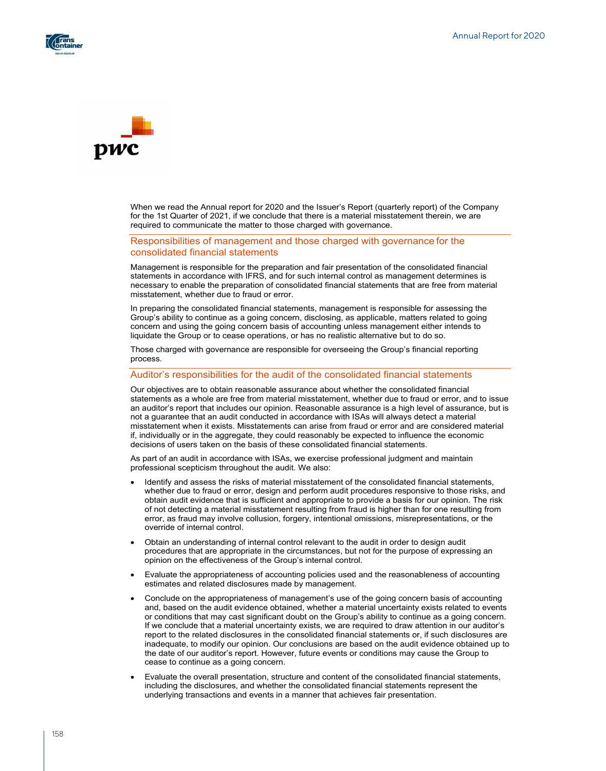

When we read the Annual report for 2020 and the Issuer's Report (quarterly report) of the Company for the 1st Quarter of 2021, if we conclude that there is a material misstatement therein, we are required to communicate the matter to those charged with governance.

#### Responsibilities of management and those charged with governance for the consolidated financial statements

Management is responsible for the preparation and fair presentation of the consolidated financial statements in accordance with IFRS, and for such internal control as management determines is necessary to enable the preparation of consolidated financial statements that are free from material misstatement, whether due to fraud or error.

In preparing the consolidated financial statements, management is responsible for assessing the Group's ability to continue as a going concern, disclosing, as applicable, matters related to going concern and using the going concern basis of accounting unless management either intends to liquidate the Group or to cease operations, or has no realistic alternative but to do so.

Those charged with governance are responsible for overseeing the Group's financial reporting process.

#### Auditor's responsibilities for the audit of the consolidated financial statements

Our objectives are to obtain reasonable assurance about whether the consolidated financial statements as a whole are free from material misstatement, whether due to fraud or error, and to issue an auditor's report that includes our opinion. Reasonable assurance is a high level of assurance, but is not a guarantee that an audit conducted in accordance with ISAs will always detect a material misstatement when it exists. Misstatements can arise from fraud or error and are considered material if, individually or in the aggregate, they could reasonably be expected to influence the economic decisions of users taken on the basis of these consolidated financial statements.

As part of an audit in accordance with ISAs, we exercise professional judgment and maintain professional scepticism throughout the audit. We also:

- Identify and assess the risks of material misstatement of the consolidated financial statements, whether due to fraud or error, design and perform audit procedures responsive to those risks, and obtain audit evidence that is sufficient and appropriate to provide a basis for our opinion. The risk of not detecting a material misstatement resulting from fraud is higher than for one resulting from error, as fraud may involve collusion, forgery, intentional omissions, misrepresentations, or the override of internal control.
- Obtain an understanding of internal control relevant to the audit in order to design audit procedures that are appropriate in the circumstances, but not for the purpose of expressing an opinion on the effectiveness of the Group's internal control.
- Evaluate the appropriateness of accounting policies used and the reasonableness of accounting estimates and related disclosures made by management.
- Conclude on the appropriateness of management's use of the going concern basis of accounting and, based on the audit evidence obtained, whether a material uncertainty exists related to events or conditions that may cast significant doubt on the Group's ability to continue as a going concern. If we conclude that a material uncertainty exists, we are required to draw attention in our auditor's report to the related disclosures in the consolidated financial statements or, if such disclosures are inadequate, to modify our opinion. Our conclusions are based on the audit evidence obtained up to the date of our auditor's report. However, future events or conditions may cause the Group to cease to continue as a going concern.
- Evaluate the overall presentation, structure and content of the consolidated financial statements, including the disclosures, and whether the consolidated financial statements represent the underlying transactions and events in a manner that achieves fair presentation.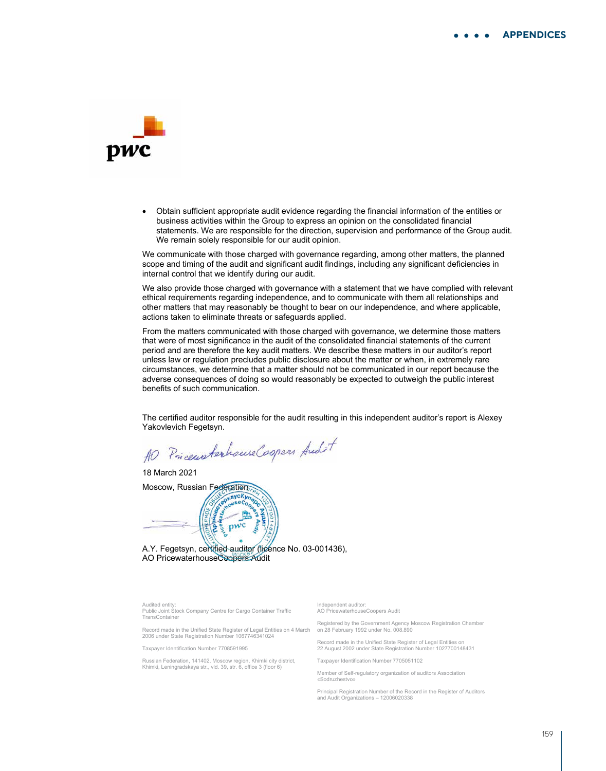

 Obtain sufficient appropriate audit evidence regarding the financial information of the entities or business activities within the Group to express an opinion on the consolidated financial statements. We are responsible for the direction, supervision and performance of the Group audit. We remain solely responsible for our audit opinion.

We communicate with those charged with governance regarding, among other matters, the planned scope and timing of the audit and significant audit findings, including any significant deficiencies in internal control that we identify during our audit.

We also provide those charged with governance with a statement that we have complied with relevant ethical requirements regarding independence, and to communicate with them all relationships and other matters that may reasonably be thought to bear on our independence, and where applicable, actions taken to eliminate threats or safeguards applied.

From the matters communicated with those charged with governance, we determine those matters that were of most significance in the audit of the consolidated financial statements of the current period and are therefore the key audit matters. We describe these matters in our auditor's report unless law or regulation precludes public disclosure about the matter or when, in extremely rare circumstances, we determine that a matter should not be communicated in our report because the adverse consequences of doing so would reasonably be expected to outweigh the public interest benefits of such communication.

The certified auditor responsible for the audit resulting in this independent auditor's report is Alexey Yakovlevich Fegetsyn.

AO PricewaterhouseCoopers Audit

18 March 2021

Moscow, Russian Federation, pwc

A.Y. Fegetsyn, certified auditor (licence No. 03-001436), AO PricewaterhouseCoopers Audit

Audited entity: Public Joint Stock Company Centre for Cargo Container Traffic

**TransContainer** 

Record made in the Unified State Register of Legal Entities on 4 March on 28 February 1992 under No. 008.890<br>2006 under State Registration Number 1067746341024

Taxpayer Identification Number 7708591995

Russian Federation, 141402, Moscow region, Khimki city district, Khimki, Leningradskaya str., vld. 39, str. 6, office 3 (floor 6)

Independent auditor: AO PricewaterhouseCoopers Audit

Registered by the Government Agency Moscow Registration Chamber

Record made in the Unified State Register of Legal Entities on 22 August 2002 under State Registration Number 1027700148431

Taxpayer Identification Number 7705051102

Member of Self-regulatory organization of auditors Association «Sodruzhestvo»

Principal Registration Number of the Record in the Register of Auditors and Audit Organizations – 12006020338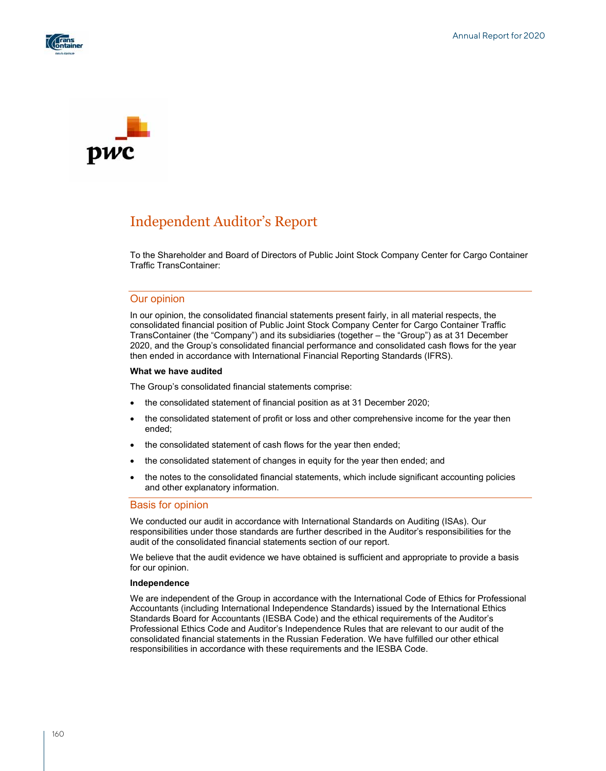

# Independent Auditor's Report

To the Shareholder and Board of Directors of Public Joint Stock Company Center for Cargo Container Traffic TransContainer:

### Our opinion

In our opinion, the consolidated financial statements present fairly, in all material respects, the consolidated financial position of Public Joint Stock Company Center for Cargo Container Traffic TransContainer (the "Company") and its subsidiaries (together – the "Group") as at 31 December 2020, and the Group's consolidated financial performance and consolidated cash flows for the year then ended in accordance with International Financial Reporting Standards (IFRS).

#### **What we have audited**

The Group's consolidated financial statements comprise:

- the consolidated statement of financial position as at 31 December 2020;
- the consolidated statement of profit or loss and other comprehensive income for the year then ended;
- the consolidated statement of cash flows for the year then ended;
- the consolidated statement of changes in equity for the year then ended; and
- the notes to the consolidated financial statements, which include significant accounting policies and other explanatory information.

### Basis for opinion

We conducted our audit in accordance with International Standards on Auditing (ISAs). Our responsibilities under those standards are further described in the Auditor's responsibilities for the audit of the consolidated financial statements section of our report.

We believe that the audit evidence we have obtained is sufficient and appropriate to provide a basis for our opinion.

#### **Independence**

We are independent of the Group in accordance with the International Code of Ethics for Professional Accountants (including International Independence Standards) issued by the International Ethics Standards Board for Accountants (IESBA Code) and the ethical requirements of the Auditor's Professional Ethics Code and Auditor's Independence Rules that are relevant to our audit of the consolidated financial statements in the Russian Federation. We have fulfilled our other ethical responsibilities in accordance with these requirements and the IESBA Code.